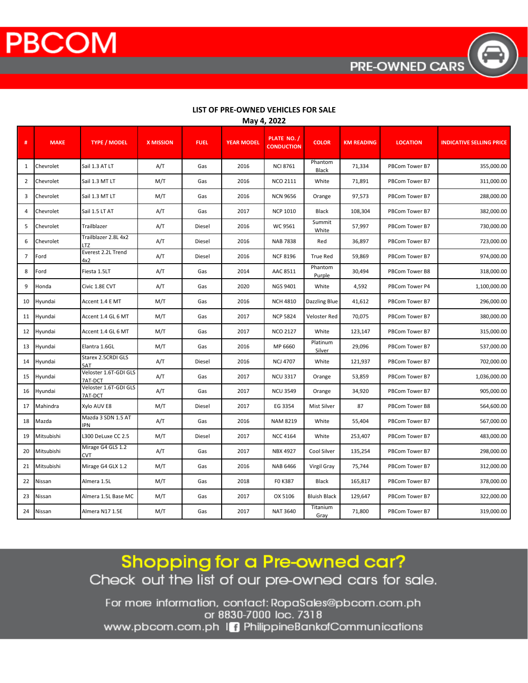**PBCOM** 

|                | ividy 4, 2022 |                                  |                  |             |                   |                                  |                     |                   |                 |                                 |  |
|----------------|---------------|----------------------------------|------------------|-------------|-------------------|----------------------------------|---------------------|-------------------|-----------------|---------------------------------|--|
| #              | <b>MAKE</b>   | <b>TYPE / MODEL</b>              | <b>X MISSION</b> | <b>FUEL</b> | <b>YEAR MODEL</b> | PLATE NO. /<br><b>CONDUCTION</b> | <b>COLOR</b>        | <b>KM READING</b> | <b>LOCATION</b> | <b>INDICATIVE SELLING PRICE</b> |  |
| 1              | Chevrolet     | Sail 1.3 AT LT                   | A/T              | Gas         | 2016              | <b>NCI 8761</b>                  | Phantom<br>Black    | 71,334            | PBCom Tower B7  | 355,000.00                      |  |
| $\overline{2}$ | Chevrolet     | Sail 1.3 MT LT                   | M/T              | Gas         | 2016              | <b>NCO 2111</b>                  | White               | 71,891            | PBCom Tower B7  | 311,000.00                      |  |
| 3              | Chevrolet     | Sail 1.3 MT LT                   | M/T              | Gas         | 2016              | <b>NCN 9656</b>                  | Orange              | 97,573            | PBCom Tower B7  | 288,000.00                      |  |
| 4              | Chevrolet     | Sail 1.5 LT AT                   | A/T              | Gas         | 2017              | <b>NCP 1010</b>                  | Black               | 108,304           | PBCom Tower B7  | 382,000.00                      |  |
| 5              | Chevrolet     | Trailblazer                      | A/T              | Diesel      | 2016              | WC 9561                          | Summit<br>White     | 57,997            | PBCom Tower B7  | 730,000.00                      |  |
| 6              | Chevrolet     | Trailblazer 2.8L 4x2<br>LTZ      | A/T              | Diesel      | 2016              | <b>NAB 7838</b>                  | Red                 | 36,897            | PBCom Tower B7  | 723,000.00                      |  |
| $\overline{7}$ | Ford          | Everest 2.2L Trend<br>4x2        | A/T              | Diesel      | 2016              | <b>NCF 8196</b>                  | True Red            | 59,869            | PBCom Tower B7  | 974,000.00                      |  |
| 8              | Ford          | Fiesta 1.5LT                     | A/T              | Gas         | 2014              | AAC 8511                         | Phantom<br>Purple   | 30,494            | PBCom Tower B8  | 318,000.00                      |  |
| 9              | Honda         | Civic 1.8E CVT                   | A/T              | Gas         | 2020              | NGS 9401                         | White               | 4,592             | PBCom Tower P4  | 1,100,000.00                    |  |
| 10             | Hyundai       | Accent 1.4 E MT                  | M/T              | Gas         | 2016              | <b>NCH 4810</b>                  | Dazzling Blue       | 41,612            | PBCom Tower B7  | 296,000.00                      |  |
| 11             | Hyundai       | Accent 1.4 GL 6 MT               | M/T              | Gas         | 2017              | <b>NCP 5824</b>                  | Veloster Red        | 70,075            | PBCom Tower B7  | 380,000.00                      |  |
| 12             | Hyundai       | Accent 1.4 GL 6 MT               | M/T              | Gas         | 2017              | <b>NCO 2127</b>                  | White               | 123,147           | PBCom Tower B7  | 315,000.00                      |  |
| 13             | Hyundai       | Elantra 1.6GL                    | M/T              | Gas         | 2016              | MP 6660                          | Platinum<br>Silver  | 29,096            | PBCom Tower B7  | 537,000.00                      |  |
| 14             | Hyundai       | Starex 2.5CRDI GLS<br>5AT        | A/T              | Diesel      | 2016              | <b>NCJ 4707</b>                  | White               | 121,937           | PBCom Tower B7  | 702,000.00                      |  |
| 15             | Hyundai       | Veloster 1.6T-GDI GLS<br>7AT-DCT | A/T              | Gas         | 2017              | <b>NCU 3317</b>                  | Orange              | 53,859            | PBCom Tower B7  | 1,036,000.00                    |  |
| 16             | Hyundai       | Veloster 1.6T-GDI GLS<br>7AT-DCT | A/T              | Gas         | 2017              | <b>NCU 3549</b>                  | Orange              | 34,920            | PBCom Tower B7  | 905,000.00                      |  |
| 17             | Mahindra      | Xylo AUV E8                      | M/T              | Diesel      | 2017              | EG 3354                          | Mist Silver         | 87                | PBCom Tower B8  | 564,600.00                      |  |
| 18             | Mazda         | Mazda 3 SDN 1.5 AT<br><b>IPN</b> | A/T              | Gas         | 2016              | <b>NAM 8219</b>                  | White               | 55,404            | PBCom Tower B7  | 567,000.00                      |  |
| 19             | Mitsubishi    | L300 DeLuxe CC 2.5               | M/T              | Diesel      | 2017              | <b>NCC 4164</b>                  | White               | 253,407           | PBCom Tower B7  | 483,000.00                      |  |
| 20             | Mitsubishi    | Mirage G4 GLS 1.2<br><b>CVT</b>  | A/T              | Gas         | 2017              | NBX 4927                         | Cool Silver         | 135,254           | PBCom Tower B7  | 298,000.00                      |  |
| 21             | Mitsubishi    | Mirage G4 GLX 1.2                | M/T              | Gas         | 2016              | <b>NAB 6466</b>                  | Virgil Gray         | 75,744            | PBCom Tower B7  | 312,000.00                      |  |
| 22             | Nissan        | Almera 1.5L                      | M/T              | Gas         | 2018              | F0 K387                          | <b>Black</b>        | 165,817           | PBCom Tower B7  | 378,000.00                      |  |
| 23             | Nissan        | Almera 1.5L Base MC              | M/T              | Gas         | 2017              | OX 5106                          | <b>Bluish Black</b> | 129,647           | PBCom Tower B7  | 322,000.00                      |  |
| 24             | Nissan        | Almera N17 1.5E                  | M/T              | Gas         | 2017              | <b>NAT 3640</b>                  | Titanium<br>Gray    | 71,800            | PBCom Tower B7  | 319,000.00                      |  |

## LIST OF PRE-OWNED VEHICLES FOR SALE  $M<sub>2</sub> M<sub>2</sub> 2022$

Shopping for a Pre-owned car? Check out the list of our pre-owned cars for sale.

For more information, contact: RopaSales@pbcom.com.ph or 8830-7000 loc. 7318 www.pbcom.com.ph In PhilippineBankofCommunications